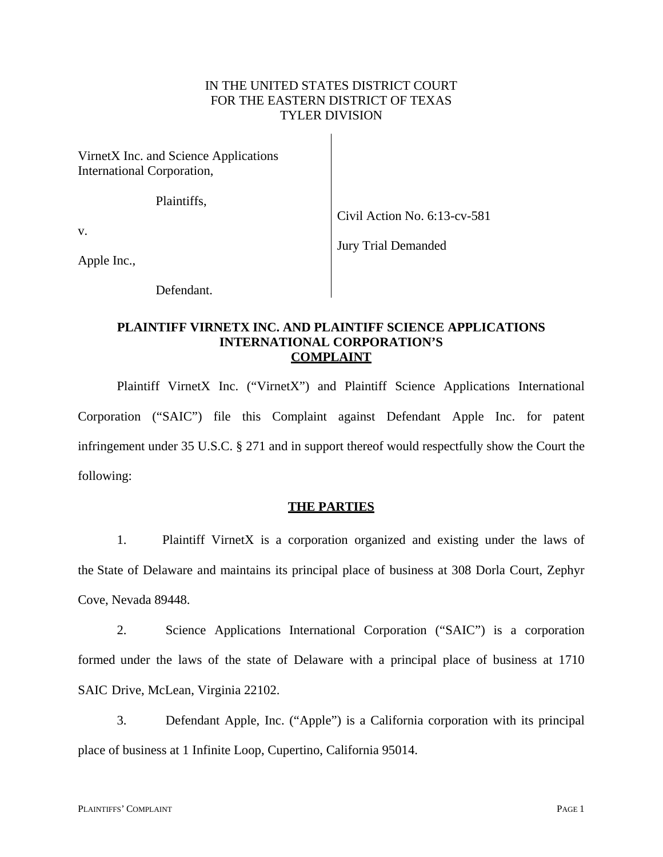## IN THE UNITED STATES DISTRICT COURT FOR THE EASTERN DISTRICT OF TEXAS TYLER DIVISION

VirnetX Inc. and Science Applications International Corporation,

Plaintiffs,

Civil Action No. 6:13-cv-581

Jury Trial Demanded

v.

Apple Inc.,

Defendant.

### **PLAINTIFF VIRNETX INC. AND PLAINTIFF SCIENCE APPLICATIONS INTERNATIONAL CORPORATION'S COMPLAINT**

Plaintiff VirnetX Inc. ("VirnetX") and Plaintiff Science Applications International Corporation ("SAIC") file this Complaint against Defendant Apple Inc. for patent infringement under 35 U.S.C. § 271 and in support thereof would respectfully show the Court the following:

# **THE PARTIES**

1. Plaintiff VirnetX is a corporation organized and existing under the laws of the State of Delaware and maintains its principal place of business at 308 Dorla Court, Zephyr Cove, Nevada 89448.

2. Science Applications International Corporation ("SAIC") is a corporation formed under the laws of the state of Delaware with a principal place of business at 1710 SAIC Drive, McLean, Virginia 22102.

3. Defendant Apple, Inc. ("Apple") is a California corporation with its principal place of business at 1 Infinite Loop, Cupertino, California 95014.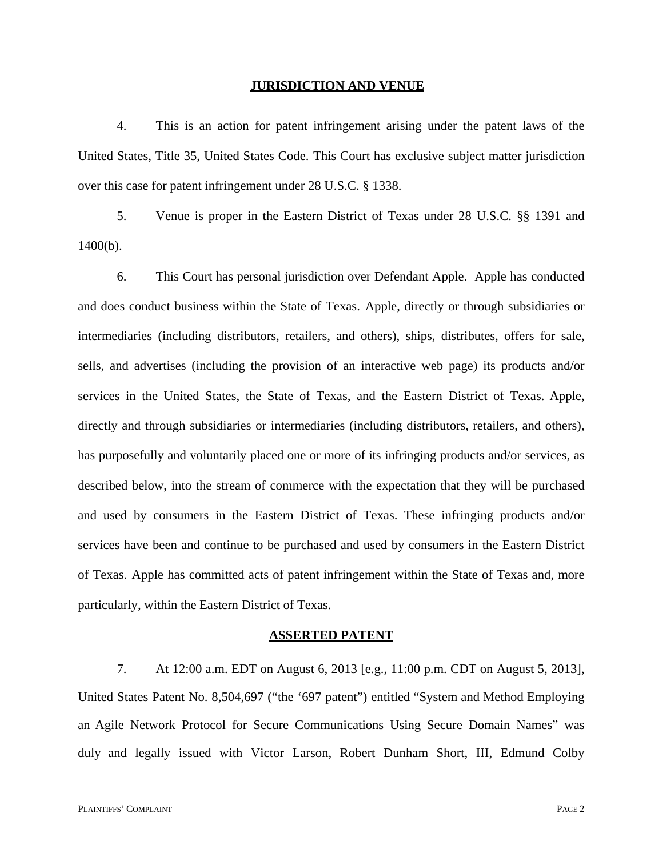#### **JURISDICTION AND VENUE**

4. This is an action for patent infringement arising under the patent laws of the United States, Title 35, United States Code. This Court has exclusive subject matter jurisdiction over this case for patent infringement under 28 U.S.C. § 1338.

5. Venue is proper in the Eastern District of Texas under 28 U.S.C. §§ 1391 and 1400(b).

6. This Court has personal jurisdiction over Defendant Apple. Apple has conducted and does conduct business within the State of Texas. Apple, directly or through subsidiaries or intermediaries (including distributors, retailers, and others), ships, distributes, offers for sale, sells, and advertises (including the provision of an interactive web page) its products and/or services in the United States, the State of Texas, and the Eastern District of Texas. Apple, directly and through subsidiaries or intermediaries (including distributors, retailers, and others), has purposefully and voluntarily placed one or more of its infringing products and/or services, as described below, into the stream of commerce with the expectation that they will be purchased and used by consumers in the Eastern District of Texas. These infringing products and/or services have been and continue to be purchased and used by consumers in the Eastern District of Texas. Apple has committed acts of patent infringement within the State of Texas and, more particularly, within the Eastern District of Texas.

#### **ASSERTED PATENT**

7. At 12:00 a.m. EDT on August 6, 2013 [e.g., 11:00 p.m. CDT on August 5, 2013], United States Patent No. 8,504,697 ("the '697 patent") entitled "System and Method Employing an Agile Network Protocol for Secure Communications Using Secure Domain Names" was duly and legally issued with Victor Larson, Robert Dunham Short, III, Edmund Colby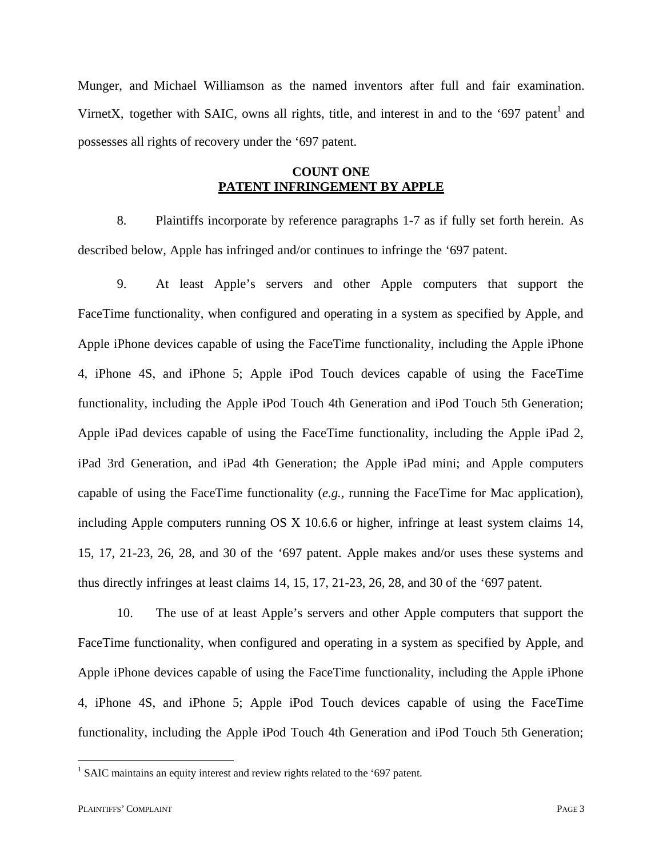Munger, and Michael Williamson as the named inventors after full and fair examination. VirnetX, together with SAIC, owns all rights, title, and interest in and to the '697 patent<sup>1</sup> and possesses all rights of recovery under the '697 patent.

### **COUNT ONE PATENT INFRINGEMENT BY APPLE**

8. Plaintiffs incorporate by reference paragraphs 1-7 as if fully set forth herein. As described below, Apple has infringed and/or continues to infringe the '697 patent.

9. At least Apple's servers and other Apple computers that support the FaceTime functionality, when configured and operating in a system as specified by Apple, and Apple iPhone devices capable of using the FaceTime functionality, including the Apple iPhone 4, iPhone 4S, and iPhone 5; Apple iPod Touch devices capable of using the FaceTime functionality, including the Apple iPod Touch 4th Generation and iPod Touch 5th Generation; Apple iPad devices capable of using the FaceTime functionality, including the Apple iPad 2, iPad 3rd Generation, and iPad 4th Generation; the Apple iPad mini; and Apple computers capable of using the FaceTime functionality (*e.g.*, running the FaceTime for Mac application), including Apple computers running OS X 10.6.6 or higher, infringe at least system claims 14, 15, 17, 21-23, 26, 28, and 30 of the '697 patent. Apple makes and/or uses these systems and thus directly infringes at least claims 14, 15, 17, 21-23, 26, 28, and 30 of the '697 patent.

10. The use of at least Apple's servers and other Apple computers that support the FaceTime functionality, when configured and operating in a system as specified by Apple, and Apple iPhone devices capable of using the FaceTime functionality, including the Apple iPhone 4, iPhone 4S, and iPhone 5; Apple iPod Touch devices capable of using the FaceTime functionality, including the Apple iPod Touch 4th Generation and iPod Touch 5th Generation;

 $<sup>1</sup>$  SAIC maintains an equity interest and review rights related to the '697 patent.</sup>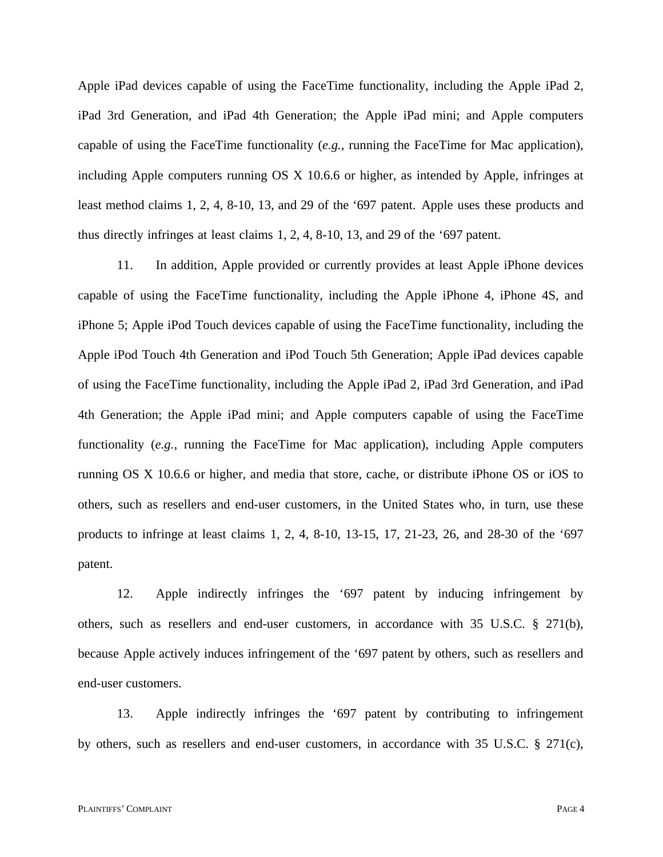Apple iPad devices capable of using the FaceTime functionality, including the Apple iPad 2, iPad 3rd Generation, and iPad 4th Generation; the Apple iPad mini; and Apple computers capable of using the FaceTime functionality (*e.g.*, running the FaceTime for Mac application), including Apple computers running OS X 10.6.6 or higher, as intended by Apple, infringes at least method claims 1, 2, 4, 8-10, 13, and 29 of the '697 patent. Apple uses these products and thus directly infringes at least claims 1, 2, 4, 8-10, 13, and 29 of the '697 patent.

11. In addition, Apple provided or currently provides at least Apple iPhone devices capable of using the FaceTime functionality, including the Apple iPhone 4, iPhone 4S, and iPhone 5; Apple iPod Touch devices capable of using the FaceTime functionality, including the Apple iPod Touch 4th Generation and iPod Touch 5th Generation; Apple iPad devices capable of using the FaceTime functionality, including the Apple iPad 2, iPad 3rd Generation, and iPad 4th Generation; the Apple iPad mini; and Apple computers capable of using the FaceTime functionality (*e.g.*, running the FaceTime for Mac application), including Apple computers running OS X 10.6.6 or higher, and media that store, cache, or distribute iPhone OS or iOS to others, such as resellers and end-user customers, in the United States who, in turn, use these products to infringe at least claims 1, 2, 4, 8-10, 13-15, 17, 21-23, 26, and 28-30 of the '697 patent.

12. Apple indirectly infringes the '697 patent by inducing infringement by others, such as resellers and end-user customers, in accordance with 35 U.S.C. § 271(b), because Apple actively induces infringement of the '697 patent by others, such as resellers and end-user customers.

13. Apple indirectly infringes the '697 patent by contributing to infringement by others, such as resellers and end-user customers, in accordance with 35 U.S.C. § 271(c),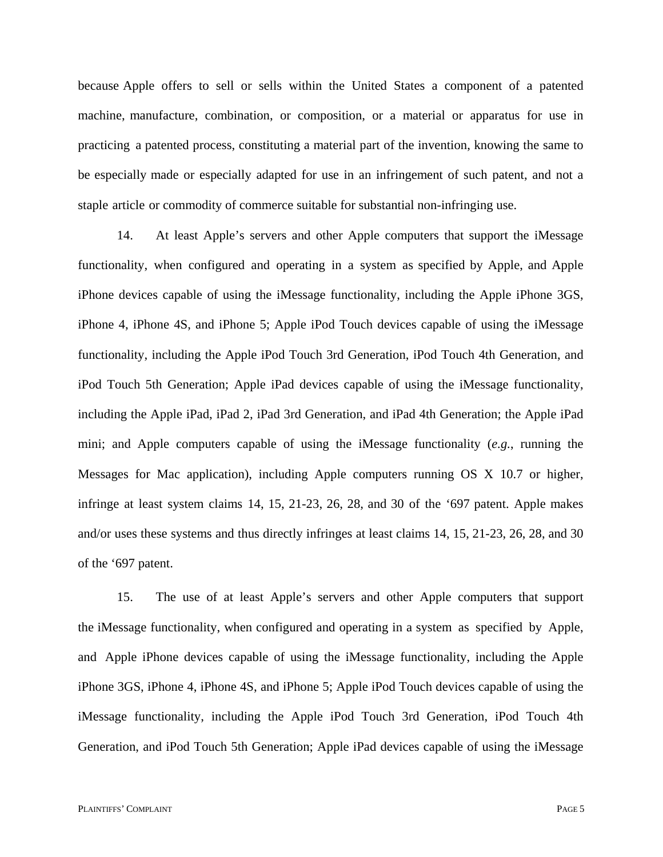because Apple offers to sell or sells within the United States a component of a patented machine, manufacture, combination, or composition, or a material or apparatus for use in practicing a patented process, constituting a material part of the invention, knowing the same to be especially made or especially adapted for use in an infringement of such patent, and not a staple article or commodity of commerce suitable for substantial non-infringing use.

14. At least Apple's servers and other Apple computers that support the iMessage functionality, when configured and operating in a system as specified by Apple, and Apple iPhone devices capable of using the iMessage functionality, including the Apple iPhone 3GS, iPhone 4, iPhone 4S, and iPhone 5; Apple iPod Touch devices capable of using the iMessage functionality, including the Apple iPod Touch 3rd Generation, iPod Touch 4th Generation, and iPod Touch 5th Generation; Apple iPad devices capable of using the iMessage functionality, including the Apple iPad, iPad 2, iPad 3rd Generation, and iPad 4th Generation; the Apple iPad mini; and Apple computers capable of using the iMessage functionality (*e.g.*, running the Messages for Mac application), including Apple computers running OS X 10.7 or higher, infringe at least system claims 14, 15, 21-23, 26, 28, and 30 of the '697 patent. Apple makes and/or uses these systems and thus directly infringes at least claims 14, 15, 21-23, 26, 28, and 30 of the '697 patent.

15. The use of at least Apple's servers and other Apple computers that support the iMessage functionality, when configured and operating in a system as specified by Apple, and Apple iPhone devices capable of using the iMessage functionality, including the Apple iPhone 3GS, iPhone 4, iPhone 4S, and iPhone 5; Apple iPod Touch devices capable of using the iMessage functionality, including the Apple iPod Touch 3rd Generation, iPod Touch 4th Generation, and iPod Touch 5th Generation; Apple iPad devices capable of using the iMessage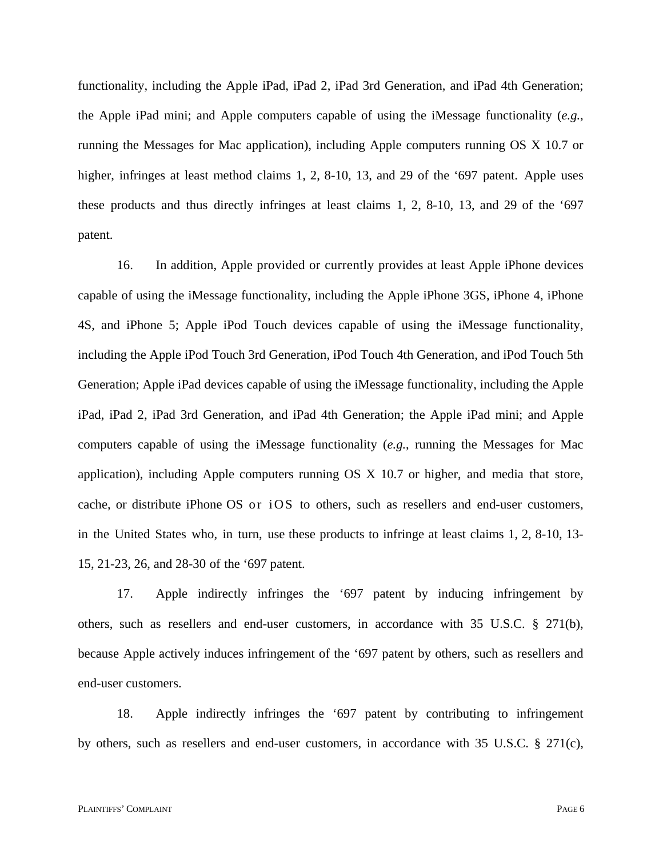functionality, including the Apple iPad, iPad 2, iPad 3rd Generation, and iPad 4th Generation; the Apple iPad mini; and Apple computers capable of using the iMessage functionality (*e.g.*, running the Messages for Mac application), including Apple computers running OS X 10.7 or higher, infringes at least method claims 1, 2, 8-10, 13, and 29 of the '697 patent. Apple uses these products and thus directly infringes at least claims 1, 2, 8-10, 13, and 29 of the '697 patent.

16. In addition, Apple provided or currently provides at least Apple iPhone devices capable of using the iMessage functionality, including the Apple iPhone 3GS, iPhone 4, iPhone 4S, and iPhone 5; Apple iPod Touch devices capable of using the iMessage functionality, including the Apple iPod Touch 3rd Generation, iPod Touch 4th Generation, and iPod Touch 5th Generation; Apple iPad devices capable of using the iMessage functionality, including the Apple iPad, iPad 2, iPad 3rd Generation, and iPad 4th Generation; the Apple iPad mini; and Apple computers capable of using the iMessage functionality (*e.g.*, running the Messages for Mac application), including Apple computers running OS X 10.7 or higher, and media that store, cache, or distribute iPhone OS or i OS to others, such as resellers and end-user customers, in the United States who, in turn, use these products to infringe at least claims 1, 2, 8-10, 13- 15, 21-23, 26, and 28-30 of the '697 patent.

17. Apple indirectly infringes the '697 patent by inducing infringement by others, such as resellers and end-user customers, in accordance with 35 U.S.C. § 271(b), because Apple actively induces infringement of the '697 patent by others, such as resellers and end-user customers.

18. Apple indirectly infringes the '697 patent by contributing to infringement by others, such as resellers and end-user customers, in accordance with 35 U.S.C. § 271(c),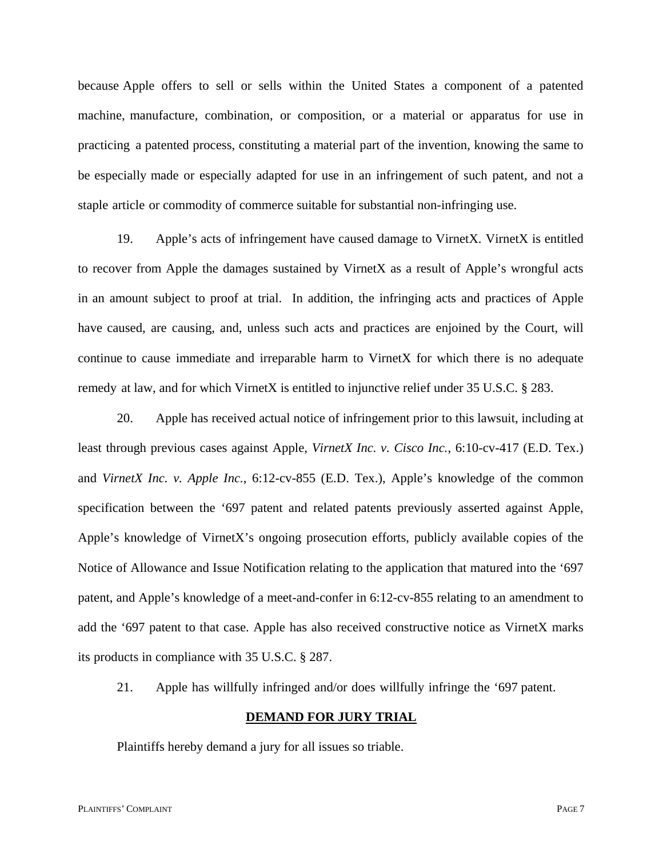because Apple offers to sell or sells within the United States a component of a patented machine, manufacture, combination, or composition, or a material or apparatus for use in practicing a patented process, constituting a material part of the invention, knowing the same to be especially made or especially adapted for use in an infringement of such patent, and not a staple article or commodity of commerce suitable for substantial non-infringing use.

19. Apple's acts of infringement have caused damage to VirnetX. VirnetX is entitled to recover from Apple the damages sustained by VirnetX as a result of Apple's wrongful acts in an amount subject to proof at trial. In addition, the infringing acts and practices of Apple have caused, are causing, and, unless such acts and practices are enjoined by the Court, will continue to cause immediate and irreparable harm to VirnetX for which there is no adequate remedy at law, and for which VirnetX is entitled to injunctive relief under 35 U.S.C. § 283.

20. Apple has received actual notice of infringement prior to this lawsuit, including at least through previous cases against Apple, *VirnetX Inc. v. Cisco Inc.*, 6:10-cv-417 (E.D. Tex.) and *VirnetX Inc. v. Apple Inc.*, 6:12-cv-855 (E.D. Tex.), Apple's knowledge of the common specification between the '697 patent and related patents previously asserted against Apple, Apple's knowledge of VirnetX's ongoing prosecution efforts, publicly available copies of the Notice of Allowance and Issue Notification relating to the application that matured into the '697 patent, and Apple's knowledge of a meet-and-confer in 6:12-cv-855 relating to an amendment to add the '697 patent to that case. Apple has also received constructive notice as VirnetX marks its products in compliance with 35 U.S.C. § 287.

21. Apple has willfully infringed and/or does willfully infringe the '697 patent.

### **DEMAND FOR JURY TRIAL**

Plaintiffs hereby demand a jury for all issues so triable.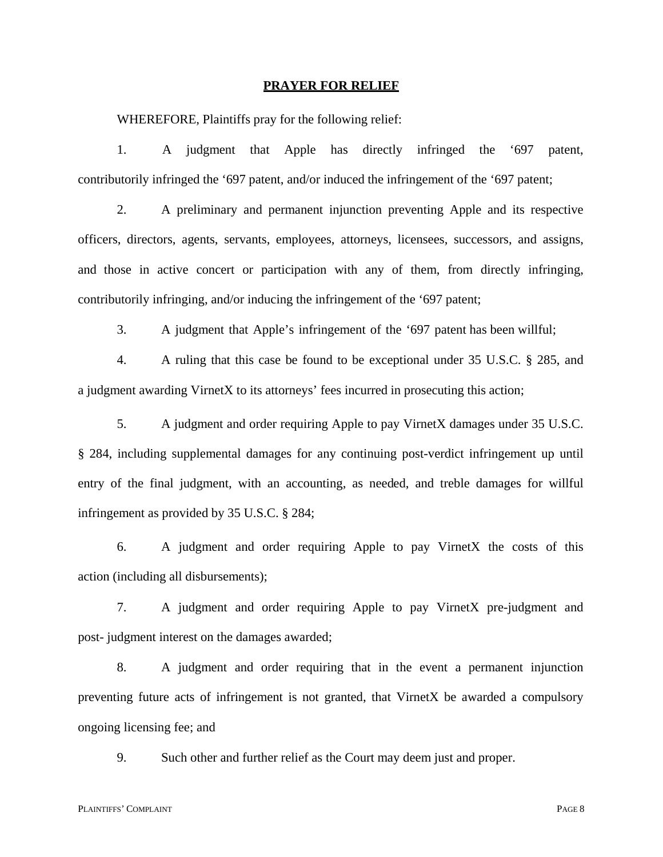#### **PRAYER FOR RELIEF**

WHEREFORE, Plaintiffs pray for the following relief:

1. A judgment that Apple has directly infringed the '697 patent, contributorily infringed the '697 patent, and/or induced the infringement of the '697 patent;

2. A preliminary and permanent injunction preventing Apple and its respective officers, directors, agents, servants, employees, attorneys, licensees, successors, and assigns, and those in active concert or participation with any of them, from directly infringing, contributorily infringing, and/or inducing the infringement of the '697 patent;

3. A judgment that Apple's infringement of the '697 patent has been willful;

4. A ruling that this case be found to be exceptional under 35 U.S.C. § 285, and a judgment awarding VirnetX to its attorneys' fees incurred in prosecuting this action;

5. A judgment and order requiring Apple to pay VirnetX damages under 35 U.S.C. § 284, including supplemental damages for any continuing post-verdict infringement up until entry of the final judgment, with an accounting, as needed, and treble damages for willful infringement as provided by 35 U.S.C. § 284;

6. A judgment and order requiring Apple to pay VirnetX the costs of this action (including all disbursements);

7. A judgment and order requiring Apple to pay VirnetX pre-judgment and post- judgment interest on the damages awarded;

8. A judgment and order requiring that in the event a permanent injunction preventing future acts of infringement is not granted, that VirnetX be awarded a compulsory ongoing licensing fee; and

9. Such other and further relief as the Court may deem just and proper.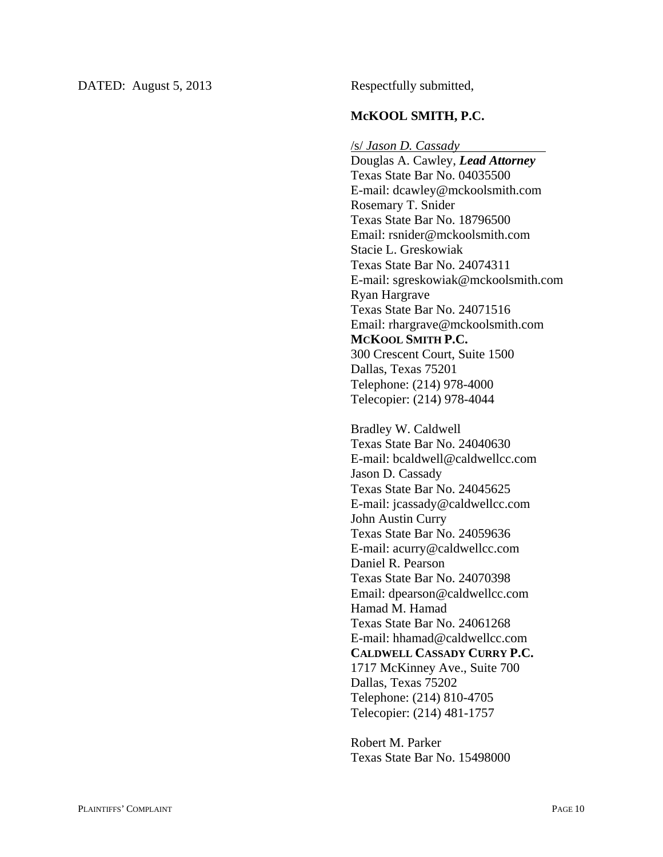### **McKOOL SMITH, P.C.**

/s/ *Jason D. Cassady* 

Douglas A. Cawley, *Lead Attorney*  Texas State Bar No. 04035500 E-mail: dcawley@mckoolsmith.com Rosemary T. Snider Texas State Bar No. 18796500 Email: rsnider@mckoolsmith.com Stacie L. Greskowiak Texas State Bar No. 24074311 E-mail: sgreskowiak@mckoolsmith.com Ryan Hargrave Texas State Bar No. 24071516 Email: rhargrave@mckoolsmith.com **MCKOOL SMITH P.C.**  300 Crescent Court, Suite 1500 Dallas, Texas 75201 Telephone: (214) 978-4000 Telecopier: (214) 978-4044

Bradley W. Caldwell Texas State Bar No. 24040630 E-mail: bcaldwell@caldwellcc.com Jason D. Cassady Texas State Bar No. 24045625 E-mail: jcassady@caldwellcc.com John Austin Curry Texas State Bar No. 24059636 E-mail: acurry@caldwellcc.com Daniel R. Pearson Texas State Bar No. 24070398 Email: dpearson@caldwellcc.com Hamad M. Hamad Texas State Bar No. 24061268 E-mail: hhamad@caldwellcc.com **CALDWELL CASSADY CURRY P.C.**  1717 McKinney Ave., Suite 700 Dallas, Texas 75202 Telephone: (214) 810-4705 Telecopier: (214) 481-1757

Robert M. Parker Texas State Bar No. 15498000